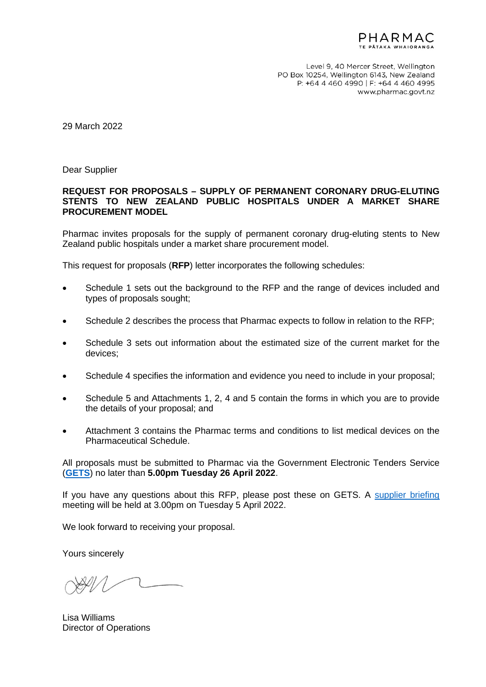

Level 9, 40 Mercer Street, Wellington PO Box 10254, Wellington 6143, New Zealand P: +64 4 460 4990 | F: +64 4 460 4995 www.pharmac.govt.nz

29 March 2022

Dear Supplier

#### **REQUEST FOR PROPOSALS – SUPPLY OF PERMANENT CORONARY DRUG-ELUTING STENTS TO NEW ZEALAND PUBLIC HOSPITALS UNDER A MARKET SHARE PROCUREMENT MODEL**

Pharmac invites proposals for the supply of permanent coronary drug-eluting stents to New Zealand public hospitals under a market share procurement model.

This request for proposals (**RFP**) letter incorporates the following schedules:

- Schedule 1 sets out the background to the RFP and the range of devices included and types of proposals sought;
- Schedule 2 describes the process that Pharmac expects to follow in relation to the RFP;
- Schedule 3 sets out information about the estimated size of the current market for the devices;
- Schedule 4 specifies the information and evidence you need to include in your proposal;
- Schedule 5 and Attachments 1, 2, 4 and 5 contain the forms in which you are to provide the details of your proposal; and
- Attachment 3 contains the Pharmac terms and conditions to list medical devices on the Pharmaceutical Schedule.

All proposals must be submitted to Pharmac via the Government Electronic Tenders Service (**[GETS](https://www.gets.govt.nz/ExternalIndex.htm)**) no later than **5.00pm Tuesday 26 April 2022**.

If you have any questions about this RFP, please post these on GETS. A [supplier briefing](https://pharmac.govt.nz/hospital-devices/whats-happening-in-each-category/interventional-cardiology/supplier-pre-registration-form/) meeting will be held at 3.00pm on Tuesday 5 April 2022.

We look forward to receiving your proposal.

Yours sincerely

Lisa Williams Director of Operations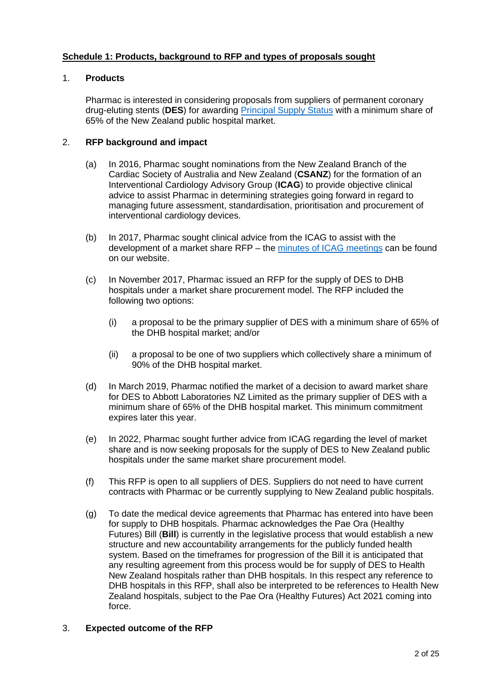# **Schedule 1: Products, background to RFP and types of proposals sought**

# 1. **Products**

Pharmac is interested in considering proposals from suppliers of permanent coronary drug-eluting stents (**DES**) for awarding [Principal](https://pharmac.govt.nz/news-and-resources/consultations-and-decisions/2021-08-30-decision-to-modify-the-schedule-rules-for-hospital-pharmaceutical-contracts/) Supply Status with a minimum share of 65% of the New Zealand public hospital market.

# 2. **RFP background and impact**

- (a) In 2016, Pharmac sought nominations from the New Zealand Branch of the Cardiac Society of Australia and New Zealand (**CSANZ**) for the formation of an Interventional Cardiology Advisory Group (**ICAG**) to provide objective clinical advice to assist Pharmac in determining strategies going forward in regard to managing future assessment, standardisation, prioritisation and procurement of interventional cardiology devices.
- (b) In 2017, Pharmac sought clinical advice from the ICAG to assist with the development of a market share RFP – the [minutes of ICAG meetings](https://www.pharmac.govt.nz/about/committees/ptac/ptac-subcommittees/) can be found on our website.
- (c) In November 2017, Pharmac issued an RFP for the supply of DES to DHB hospitals under a market share procurement model. The RFP included the following two options:
	- (i) a proposal to be the primary supplier of DES with a minimum share of 65% of the DHB hospital market; and/or
	- (ii) a proposal to be one of two suppliers which collectively share a minimum of 90% of the DHB hospital market.
- (d) In March 2019, Pharmac notified the market of a decision to award market share for DES to Abbott Laboratories NZ Limited as the primary supplier of DES with a minimum share of 65% of the DHB hospital market. This minimum commitment expires later this year.
- (e) In 2022, Pharmac sought further advice from ICAG regarding the level of market share and is now seeking proposals for the supply of DES to New Zealand public hospitals under the same market share procurement model.
- (f) This RFP is open to all suppliers of DES. Suppliers do not need to have current contracts with Pharmac or be currently supplying to New Zealand public hospitals.
- (g) To date the medical device agreements that Pharmac has entered into have been for supply to DHB hospitals. Pharmac acknowledges the Pae Ora (Healthy Futures) Bill (**Bill**) is currently in the legislative process that would establish a new structure and new accountability arrangements for the publicly funded health system. Based on the timeframes for progression of the Bill it is anticipated that any resulting agreement from this process would be for supply of DES to Health New Zealand hospitals rather than DHB hospitals. In this respect any reference to DHB hospitals in this RFP, shall also be interpreted to be references to Health New Zealand hospitals, subject to the Pae Ora (Healthy Futures) Act 2021 coming into force.

# 3. **Expected outcome of the RFP**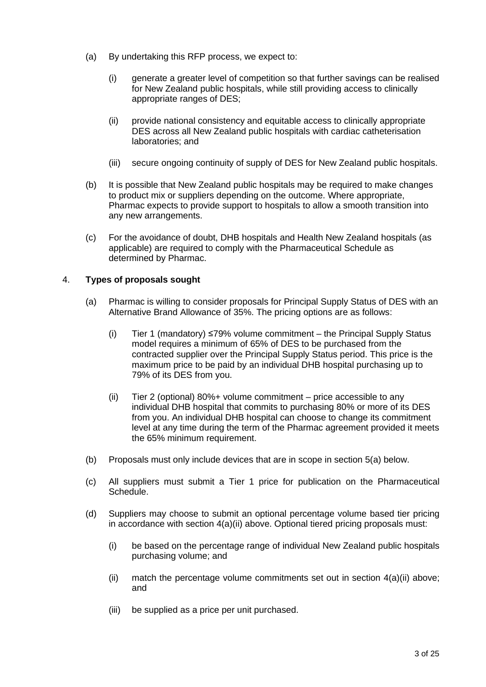- (a) By undertaking this RFP process, we expect to:
	- (i) generate a greater level of competition so that further savings can be realised for New Zealand public hospitals, while still providing access to clinically appropriate ranges of DES;
	- (ii) provide national consistency and equitable access to clinically appropriate DES across all New Zealand public hospitals with cardiac catheterisation laboratories; and
	- (iii) secure ongoing continuity of supply of DES for New Zealand public hospitals.
- (b) It is possible that New Zealand public hospitals may be required to make changes to product mix or suppliers depending on the outcome. Where appropriate, Pharmac expects to provide support to hospitals to allow a smooth transition into any new arrangements.
- (c) For the avoidance of doubt, DHB hospitals and Health New Zealand hospitals (as applicable) are required to comply with the Pharmaceutical Schedule as determined by Pharmac.

# 4. **Types of proposals sought**

- (a) Pharmac is willing to consider proposals for Principal Supply Status of DES with an Alternative Brand Allowance of 35%. The pricing options are as follows:
	- (i) Tier 1 (mandatory) ≤79% volume commitment the Principal Supply Status model requires a minimum of 65% of DES to be purchased from the contracted supplier over the Principal Supply Status period. This price is the maximum price to be paid by an individual DHB hospital purchasing up to 79% of its DES from you.
	- (ii) Tier 2 (optional) 80%+ volume commitment price accessible to any individual DHB hospital that commits to purchasing 80% or more of its DES from you. An individual DHB hospital can choose to change its commitment level at any time during the term of the Pharmac agreement provided it meets the 65% minimum requirement.
- (b) Proposals must only include devices that are in scope in section 5(a) below.
- (c) All suppliers must submit a Tier 1 price for publication on the Pharmaceutical Schedule.
- (d) Suppliers may choose to submit an optional percentage volume based tier pricing in accordance with section  $4(a)(ii)$  above. Optional tiered pricing proposals must:
	- (i) be based on the percentage range of individual New Zealand public hospitals purchasing volume; and
	- (ii) match the percentage volume commitments set out in section  $4(a)(ii)$  above; and
	- (iii) be supplied as a price per unit purchased.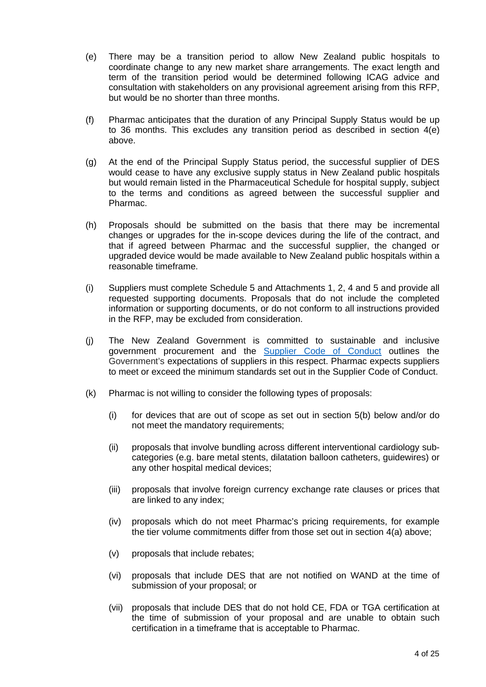- (e) There may be a transition period to allow New Zealand public hospitals to coordinate change to any new market share arrangements. The exact length and term of the transition period would be determined following ICAG advice and consultation with stakeholders on any provisional agreement arising from this RFP, but would be no shorter than three months.
- (f) Pharmac anticipates that the duration of any Principal Supply Status would be up to 36 months. This excludes any transition period as described in section 4(e) above.
- (g) At the end of the Principal Supply Status period, the successful supplier of DES would cease to have any exclusive supply status in New Zealand public hospitals but would remain listed in the Pharmaceutical Schedule for hospital supply, subject to the terms and conditions as agreed between the successful supplier and Pharmac.
- (h) Proposals should be submitted on the basis that there may be incremental changes or upgrades for the in-scope devices during the life of the contract, and that if agreed between Pharmac and the successful supplier, the changed or upgraded device would be made available to New Zealand public hospitals within a reasonable timeframe.
- (i) Suppliers must complete Schedule 5 and Attachments 1, 2, 4 and 5 and provide all requested supporting documents. Proposals that do not include the completed information or supporting documents, or do not conform to all instructions provided in the RFP, may be excluded from consideration.
- (j) The New Zealand Government is committed to sustainable and inclusive government procurement and the **[Supplier Code](https://www.procurement.govt.nz/assets/procurement-property/documents/supplier-code-of-conduct.pdf) of Conduct** outlines the Government's expectations of suppliers in this respect. Pharmac expects suppliers to meet or exceed the minimum standards set out in the Supplier Code of Conduct.
- (k) Pharmac is not willing to consider the following types of proposals:
	- (i) for devices that are out of scope as set out in section 5(b) below and/or do not meet the mandatory requirements;
	- (ii) proposals that involve bundling across different interventional cardiology subcategories (e.g. bare metal stents, dilatation balloon catheters, guidewires) or any other hospital medical devices;
	- (iii) proposals that involve foreign currency exchange rate clauses or prices that are linked to any index;
	- (iv) proposals which do not meet Pharmac's pricing requirements, for example the tier volume commitments differ from those set out in section 4(a) above;
	- (v) proposals that include rebates;
	- (vi) proposals that include DES that are not notified on WAND at the time of submission of your proposal; or
	- (vii) proposals that include DES that do not hold CE, FDA or TGA certification at the time of submission of your proposal and are unable to obtain such certification in a timeframe that is acceptable to Pharmac.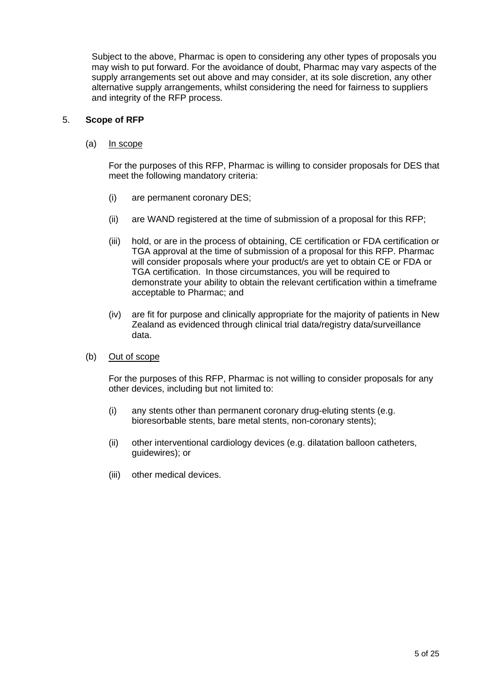Subject to the above, Pharmac is open to considering any other types of proposals you may wish to put forward. For the avoidance of doubt, Pharmac may vary aspects of the supply arrangements set out above and may consider, at its sole discretion, any other alternative supply arrangements, whilst considering the need for fairness to suppliers and integrity of the RFP process.

### 5. **Scope of RFP**

(a) In scope

For the purposes of this RFP, Pharmac is willing to consider proposals for DES that meet the following mandatory criteria:

- (i) are permanent coronary DES;
- (ii) are WAND registered at the time of submission of a proposal for this RFP;
- (iii) hold, or are in the process of obtaining, CE certification or FDA certification or TGA approval at the time of submission of a proposal for this RFP. Pharmac will consider proposals where your product/s are yet to obtain CE or FDA or TGA certification. In those circumstances, you will be required to demonstrate your ability to obtain the relevant certification within a timeframe acceptable to Pharmac; and
- (iv) are fit for purpose and clinically appropriate for the majority of patients in New Zealand as evidenced through clinical trial data/registry data/surveillance data.
- (b) Out of scope

For the purposes of this RFP, Pharmac is not willing to consider proposals for any other devices, including but not limited to:

- (i) any stents other than permanent coronary drug-eluting stents (e.g. bioresorbable stents, bare metal stents, non-coronary stents);
- (ii) other interventional cardiology devices (e.g. dilatation balloon catheters, guidewires); or
- (iii) other medical devices.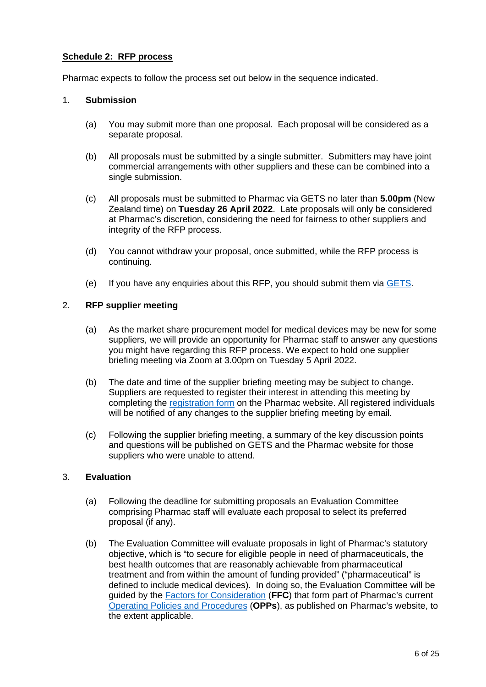# **Schedule 2: RFP process**

Pharmac expects to follow the process set out below in the sequence indicated.

### 1. **Submission**

- (a) You may submit more than one proposal. Each proposal will be considered as a separate proposal.
- (b) All proposals must be submitted by a single submitter. Submitters may have joint commercial arrangements with other suppliers and these can be combined into a single submission.
- (c) All proposals must be submitted to Pharmac via GETS no later than **5.00pm** (New Zealand time) on **Tuesday 26 April 2022**. Late proposals will only be considered at Pharmac's discretion, considering the need for fairness to other suppliers and integrity of the RFP process.
- (d) You cannot withdraw your proposal, once submitted, while the RFP process is continuing.
- (e) If you have any enquiries about this RFP, you should submit them via [GETS.](https://www.gets.govt.nz/ExternalIndex.htm)

# 2. **RFP supplier meeting**

- (a) As the market share procurement model for medical devices may be new for some suppliers, we will provide an opportunity for Pharmac staff to answer any questions you might have regarding this RFP process. We expect to hold one supplier briefing meeting via Zoom at 3.00pm on Tuesday 5 April 2022.
- (b) The date and time of the supplier briefing meeting may be subject to change. Suppliers are requested to register their interest in attending this meeting by completing the [registration form](https://pharmac.govt.nz/hospital-devices/whats-happening-in-each-category/interventional-cardiology/supplier-pre-registration-form/) on the Pharmac website. All registered individuals will be notified of any changes to the supplier briefing meeting by email.
- (c) Following the supplier briefing meeting, a summary of the key discussion points and questions will be published on GETS and the Pharmac website for those suppliers who were unable to attend.

# 3. **Evaluation**

- (a) Following the deadline for submitting proposals an Evaluation Committee comprising Pharmac staff will evaluate each proposal to select its preferred proposal (if any).
- (b) The Evaluation Committee will evaluate proposals in light of Pharmac's statutory objective, which is "to secure for eligible people in need of pharmaceuticals, the best health outcomes that are reasonably achievable from pharmaceutical treatment and from within the amount of funding provided" ("pharmaceutical" is defined to include medical devices). In doing so, the Evaluation Committee will be guided by the [Factors for Consideration](https://pharmac.govt.nz/medicine-funding-and-supply/the-funding-process/policies-manuals-and-processes/factors-for-consideration/) (**FFC**) that form part of Pharmac's current [Operating Policies and Procedures](https://pharmac.govt.nz/medicine-funding-and-supply/the-funding-process/policies-manuals-and-processes/operating-policies-and-procedures/) (**OPPs**), as published on Pharmac's website, to the extent applicable.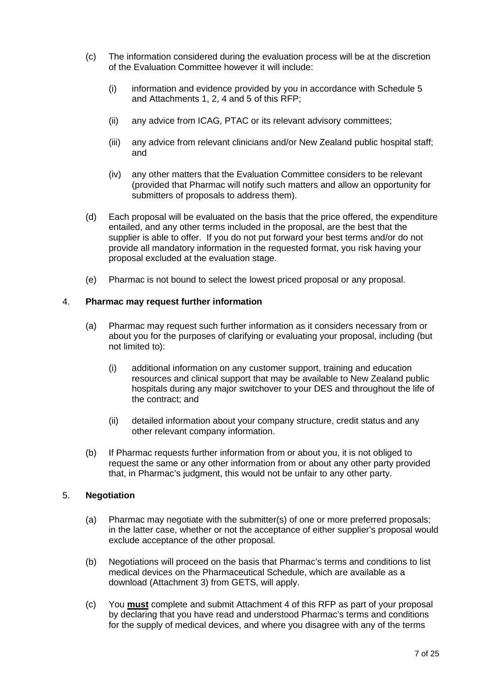- (c) The information considered during the evaluation process will be at the discretion of the Evaluation Committee however it will include:
	- (i) information and evidence provided by you in accordance with Schedule 5 and Attachments 1, 2, 4 and 5 of this RFP;
	- (ii) any advice from ICAG, PTAC or its relevant advisory committees;
	- (iii) any advice from relevant clinicians and/or New Zealand public hospital staff; and
	- (iv) any other matters that the Evaluation Committee considers to be relevant (provided that Pharmac will notify such matters and allow an opportunity for submitters of proposals to address them).
- (d) Each proposal will be evaluated on the basis that the price offered, the expenditure entailed, and any other terms included in the proposal, are the best that the supplier is able to offer. If you do not put forward your best terms and/or do not provide all mandatory information in the requested format, you risk having your proposal excluded at the evaluation stage.
- (e) Pharmac is not bound to select the lowest priced proposal or any proposal.

### 4. **Pharmac may request further information**

- (a) Pharmac may request such further information as it considers necessary from or about you for the purposes of clarifying or evaluating your proposal, including (but not limited to):
	- (i) additional information on any customer support, training and education resources and clinical support that may be available to New Zealand public hospitals during any major switchover to your DES and throughout the life of the contract; and
	- (ii) detailed information about your company structure, credit status and any other relevant company information.
- (b) If Pharmac requests further information from or about you, it is not obliged to request the same or any other information from or about any other party provided that, in Pharmac's judgment, this would not be unfair to any other party.

### 5. **Negotiation**

- (a) Pharmac may negotiate with the submitter(s) of one or more preferred proposals; in the latter case, whether or not the acceptance of either supplier's proposal would exclude acceptance of the other proposal.
- (b) Negotiations will proceed on the basis that Pharmac's terms and conditions to list medical devices on the Pharmaceutical Schedule, which are available as a download (Attachment 3) from GETS, will apply.
- (c) You **must** complete and submit Attachment 4 of this RFP as part of your proposal by declaring that you have read and understood Pharmac's terms and conditions for the supply of medical devices, and where you disagree with any of the terms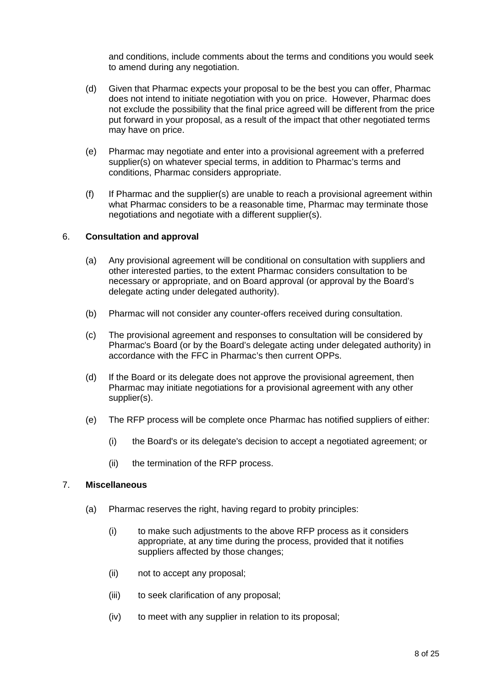and conditions, include comments about the terms and conditions you would seek to amend during any negotiation.

- (d) Given that Pharmac expects your proposal to be the best you can offer, Pharmac does not intend to initiate negotiation with you on price. However, Pharmac does not exclude the possibility that the final price agreed will be different from the price put forward in your proposal, as a result of the impact that other negotiated terms may have on price.
- (e) Pharmac may negotiate and enter into a provisional agreement with a preferred supplier(s) on whatever special terms, in addition to Pharmac's terms and conditions, Pharmac considers appropriate.
- (f) If Pharmac and the supplier(s) are unable to reach a provisional agreement within what Pharmac considers to be a reasonable time, Pharmac may terminate those negotiations and negotiate with a different supplier(s).

### 6. **Consultation and approval**

- (a) Any provisional agreement will be conditional on consultation with suppliers and other interested parties, to the extent Pharmac considers consultation to be necessary or appropriate, and on Board approval (or approval by the Board's delegate acting under delegated authority).
- (b) Pharmac will not consider any counter-offers received during consultation.
- (c) The provisional agreement and responses to consultation will be considered by Pharmac's Board (or by the Board's delegate acting under delegated authority) in accordance with the FFC in Pharmac's then current OPPs.
- (d) If the Board or its delegate does not approve the provisional agreement, then Pharmac may initiate negotiations for a provisional agreement with any other supplier(s).
- (e) The RFP process will be complete once Pharmac has notified suppliers of either:
	- (i) the Board's or its delegate's decision to accept a negotiated agreement; or
	- (ii) the termination of the RFP process.

#### 7. **Miscellaneous**

- (a) Pharmac reserves the right, having regard to probity principles:
	- (i) to make such adjustments to the above RFP process as it considers appropriate, at any time during the process, provided that it notifies suppliers affected by those changes;
	- (ii) not to accept any proposal;
	- (iii) to seek clarification of any proposal;
	- (iv) to meet with any supplier in relation to its proposal;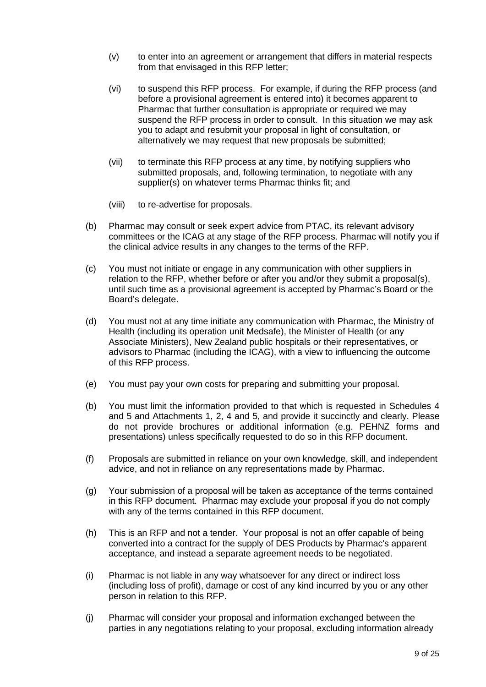- (v) to enter into an agreement or arrangement that differs in material respects from that envisaged in this RFP letter;
- (vi) to suspend this RFP process. For example, if during the RFP process (and before a provisional agreement is entered into) it becomes apparent to Pharmac that further consultation is appropriate or required we may suspend the RFP process in order to consult. In this situation we may ask you to adapt and resubmit your proposal in light of consultation, or alternatively we may request that new proposals be submitted;
- (vii) to terminate this RFP process at any time, by notifying suppliers who submitted proposals, and, following termination, to negotiate with any supplier(s) on whatever terms Pharmac thinks fit; and
- (viii) to re-advertise for proposals.
- (b) Pharmac may consult or seek expert advice from PTAC, its relevant advisory committees or the ICAG at any stage of the RFP process. Pharmac will notify you if the clinical advice results in any changes to the terms of the RFP.
- (c) You must not initiate or engage in any communication with other suppliers in relation to the RFP, whether before or after you and/or they submit a proposal(s), until such time as a provisional agreement is accepted by Pharmac's Board or the Board's delegate.
- (d) You must not at any time initiate any communication with Pharmac, the Ministry of Health (including its operation unit Medsafe), the Minister of Health (or any Associate Ministers), New Zealand public hospitals or their representatives, or advisors to Pharmac (including the ICAG), with a view to influencing the outcome of this RFP process.
- (e) You must pay your own costs for preparing and submitting your proposal.
- (b) You must limit the information provided to that which is requested in Schedules 4 and 5 and Attachments 1, 2, 4 and 5, and provide it succinctly and clearly. Please do not provide brochures or additional information (e.g. PEHNZ forms and presentations) unless specifically requested to do so in this RFP document.
- (f) Proposals are submitted in reliance on your own knowledge, skill, and independent advice, and not in reliance on any representations made by Pharmac.
- (g) Your submission of a proposal will be taken as acceptance of the terms contained in this RFP document. Pharmac may exclude your proposal if you do not comply with any of the terms contained in this RFP document.
- (h) This is an RFP and not a tender. Your proposal is not an offer capable of being converted into a contract for the supply of DES Products by Pharmac's apparent acceptance, and instead a separate agreement needs to be negotiated.
- (i) Pharmac is not liable in any way whatsoever for any direct or indirect loss (including loss of profit), damage or cost of any kind incurred by you or any other person in relation to this RFP.
- (j) Pharmac will consider your proposal and information exchanged between the parties in any negotiations relating to your proposal, excluding information already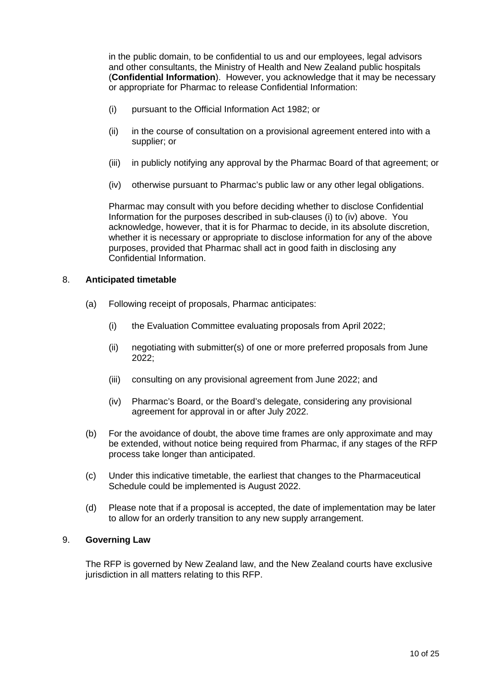in the public domain, to be confidential to us and our employees, legal advisors and other consultants, the Ministry of Health and New Zealand public hospitals (**Confidential Information**). However, you acknowledge that it may be necessary or appropriate for Pharmac to release Confidential Information:

- (i) pursuant to the Official Information Act 1982; or
- (ii) in the course of consultation on a provisional agreement entered into with a supplier; or
- (iii) in publicly notifying any approval by the Pharmac Board of that agreement; or
- (iv) otherwise pursuant to Pharmac's public law or any other legal obligations.

Pharmac may consult with you before deciding whether to disclose Confidential Information for the purposes described in sub-clauses (i) to (iv) above. You acknowledge, however, that it is for Pharmac to decide, in its absolute discretion, whether it is necessary or appropriate to disclose information for any of the above purposes, provided that Pharmac shall act in good faith in disclosing any Confidential Information.

### 8. **Anticipated timetable**

- (a) Following receipt of proposals, Pharmac anticipates:
	- (i) the Evaluation Committee evaluating proposals from April 2022;
	- (ii) negotiating with submitter(s) of one or more preferred proposals from June 2022;
	- (iii) consulting on any provisional agreement from June 2022; and
	- (iv) Pharmac's Board, or the Board's delegate, considering any provisional agreement for approval in or after July 2022.
- (b) For the avoidance of doubt, the above time frames are only approximate and may be extended, without notice being required from Pharmac, if any stages of the RFP process take longer than anticipated.
- (c) Under this indicative timetable, the earliest that changes to the Pharmaceutical Schedule could be implemented is August 2022.
- (d) Please note that if a proposal is accepted, the date of implementation may be later to allow for an orderly transition to any new supply arrangement.

#### 9. **Governing Law**

The RFP is governed by New Zealand law, and the New Zealand courts have exclusive jurisdiction in all matters relating to this RFP.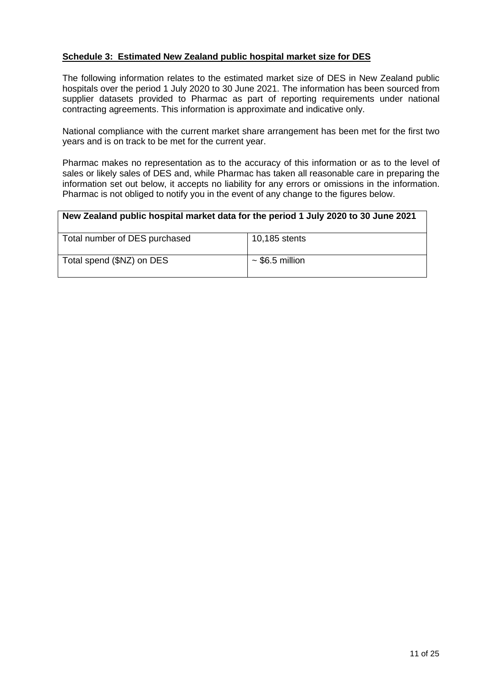# **Schedule 3: Estimated New Zealand public hospital market size for DES**

The following information relates to the estimated market size of DES in New Zealand public hospitals over the period 1 July 2020 to 30 June 2021. The information has been sourced from supplier datasets provided to Pharmac as part of reporting requirements under national contracting agreements. This information is approximate and indicative only.

National compliance with the current market share arrangement has been met for the first two years and is on track to be met for the current year.

Pharmac makes no representation as to the accuracy of this information or as to the level of sales or likely sales of DES and, while Pharmac has taken all reasonable care in preparing the information set out below, it accepts no liability for any errors or omissions in the information. Pharmac is not obliged to notify you in the event of any change to the figures below.

### **New Zealand public hospital market data for the period 1 July 2020 to 30 June 2021**

| Total number of DES purchased | 10,185 stents        |
|-------------------------------|----------------------|
| Total spend (\$NZ) on DES     | $\sim$ \$6.5 million |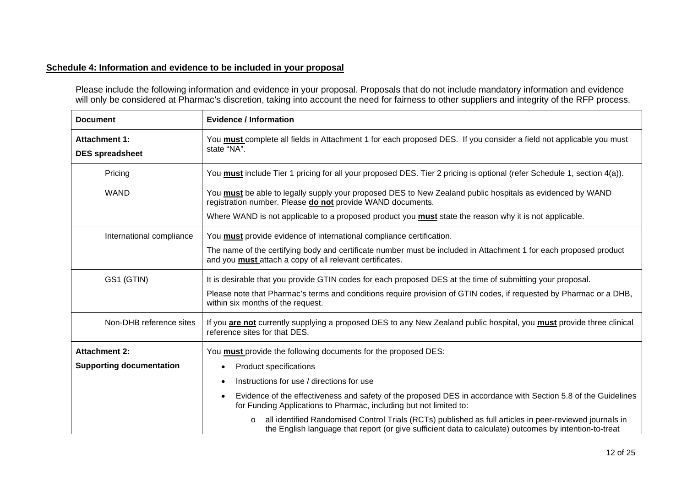# **Schedule 4: Information and evidence to be included in your proposal**

Please include the following information and evidence in your proposal. Proposals that do not include mandatory information and evidence will only be considered at Pharmac's discretion, taking into account the need for fairness to other suppliers and integrity of the RFP process.

| <b>Document</b>                                | <b>Evidence / Information</b>                                                                                                                                                                                                |  |
|------------------------------------------------|------------------------------------------------------------------------------------------------------------------------------------------------------------------------------------------------------------------------------|--|
| <b>Attachment 1:</b><br><b>DES</b> spreadsheet | You must complete all fields in Attachment 1 for each proposed DES. If you consider a field not applicable you must<br>state "NA".                                                                                           |  |
| Pricing                                        | You must include Tier 1 pricing for all your proposed DES. Tier 2 pricing is optional (refer Schedule 1, section 4(a)).                                                                                                      |  |
| <b>WAND</b>                                    | You must be able to legally supply your proposed DES to New Zealand public hospitals as evidenced by WAND<br>registration number. Please do not provide WAND documents.                                                      |  |
|                                                | Where WAND is not applicable to a proposed product you <b>must</b> state the reason why it is not applicable.                                                                                                                |  |
| International compliance                       | You must provide evidence of international compliance certification.                                                                                                                                                         |  |
|                                                | The name of the certifying body and certificate number must be included in Attachment 1 for each proposed product<br>and you must attach a copy of all relevant certificates.                                                |  |
| GS1 (GTIN)                                     | It is desirable that you provide GTIN codes for each proposed DES at the time of submitting your proposal.                                                                                                                   |  |
|                                                | Please note that Pharmac's terms and conditions require provision of GTIN codes, if requested by Pharmac or a DHB,<br>within six months of the request.                                                                      |  |
| Non-DHB reference sites                        | If you are not currently supplying a proposed DES to any New Zealand public hospital, you must provide three clinical<br>reference sites for that DES.                                                                       |  |
| <b>Attachment 2:</b>                           | You <b>must</b> provide the following documents for the proposed DES:                                                                                                                                                        |  |
| <b>Supporting documentation</b>                | <b>Product specifications</b>                                                                                                                                                                                                |  |
|                                                | Instructions for use / directions for use                                                                                                                                                                                    |  |
|                                                | Evidence of the effectiveness and safety of the proposed DES in accordance with Section 5.8 of the Guidelines<br>$\bullet$<br>for Funding Applications to Pharmac, including but not limited to:                             |  |
|                                                | all identified Randomised Control Trials (RCTs) published as full articles in peer-reviewed journals in<br>$\circ$<br>the English language that report (or give sufficient data to calculate) outcomes by intention-to-treat |  |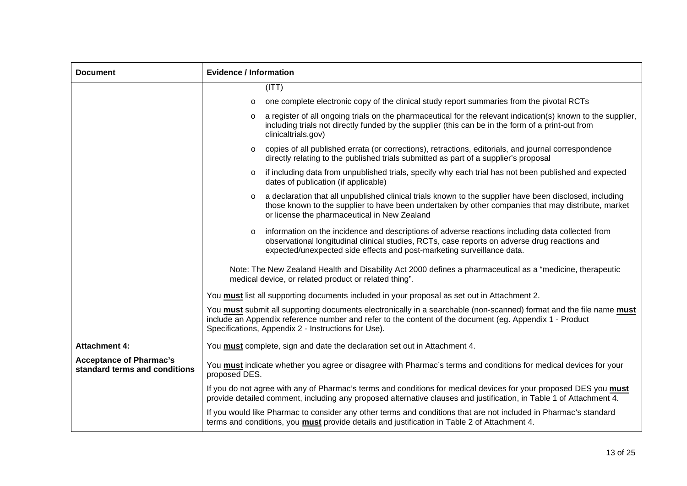| <b>Document</b>                                                 | <b>Evidence / Information</b>                                                                                                                                                                                                                                                          |  |  |
|-----------------------------------------------------------------|----------------------------------------------------------------------------------------------------------------------------------------------------------------------------------------------------------------------------------------------------------------------------------------|--|--|
|                                                                 | (ITT)                                                                                                                                                                                                                                                                                  |  |  |
|                                                                 | one complete electronic copy of the clinical study report summaries from the pivotal RCTs<br>$\circ$                                                                                                                                                                                   |  |  |
|                                                                 | a register of all ongoing trials on the pharmaceutical for the relevant indication(s) known to the supplier,<br>$\circ$<br>including trials not directly funded by the supplier (this can be in the form of a print-out from<br>clinicaltrials.gov)                                    |  |  |
|                                                                 | copies of all published errata (or corrections), retractions, editorials, and journal correspondence<br>$\circ$<br>directly relating to the published trials submitted as part of a supplier's proposal                                                                                |  |  |
|                                                                 | if including data from unpublished trials, specify why each trial has not been published and expected<br>$\circ$<br>dates of publication (if applicable)                                                                                                                               |  |  |
|                                                                 | a declaration that all unpublished clinical trials known to the supplier have been disclosed, including<br>$\circ$<br>those known to the supplier to have been undertaken by other companies that may distribute, market<br>or license the pharmaceutical in New Zealand               |  |  |
|                                                                 | information on the incidence and descriptions of adverse reactions including data collected from<br>$\circ$<br>observational longitudinal clinical studies, RCTs, case reports on adverse drug reactions and<br>expected/unexpected side effects and post-marketing surveillance data. |  |  |
|                                                                 | Note: The New Zealand Health and Disability Act 2000 defines a pharmaceutical as a "medicine, therapeutic<br>medical device, or related product or related thing".                                                                                                                     |  |  |
|                                                                 | You must list all supporting documents included in your proposal as set out in Attachment 2.                                                                                                                                                                                           |  |  |
|                                                                 | You must submit all supporting documents electronically in a searchable (non-scanned) format and the file name must<br>include an Appendix reference number and refer to the content of the document (eg. Appendix 1 - Product<br>Specifications, Appendix 2 - Instructions for Use).  |  |  |
| <b>Attachment 4:</b>                                            | You must complete, sign and date the declaration set out in Attachment 4.                                                                                                                                                                                                              |  |  |
| <b>Acceptance of Pharmac's</b><br>standard terms and conditions | You must indicate whether you agree or disagree with Pharmac's terms and conditions for medical devices for your<br>proposed DES.                                                                                                                                                      |  |  |
|                                                                 | If you do not agree with any of Pharmac's terms and conditions for medical devices for your proposed DES you must<br>provide detailed comment, including any proposed alternative clauses and justification, in Table 1 of Attachment 4.                                               |  |  |
|                                                                 | If you would like Pharmac to consider any other terms and conditions that are not included in Pharmac's standard<br>terms and conditions, you must provide details and justification in Table 2 of Attachment 4.                                                                       |  |  |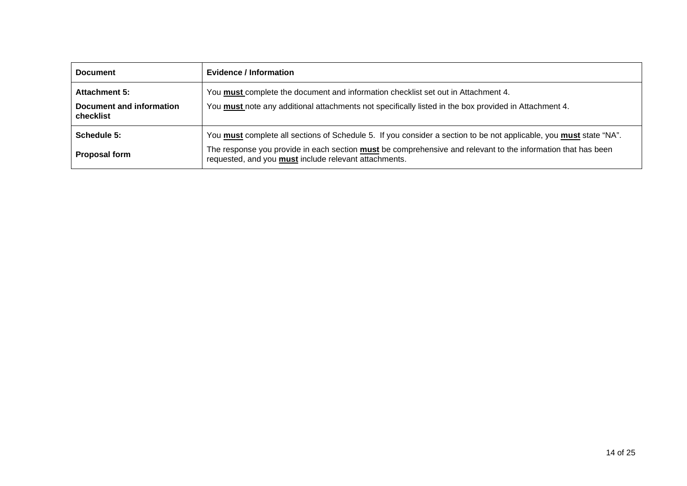| <b>Document</b>                                               | Evidence / Information                                                                                                                                                                                                                                                                                    |
|---------------------------------------------------------------|-----------------------------------------------------------------------------------------------------------------------------------------------------------------------------------------------------------------------------------------------------------------------------------------------------------|
| <b>Attachment 5:</b><br>Document and information<br>checklist | You must complete the document and information checklist set out in Attachment 4.<br>You must note any additional attachments not specifically listed in the box provided in Attachment 4.                                                                                                                |
| Schedule 5:<br><b>Proposal form</b>                           | You must complete all sections of Schedule 5. If you consider a section to be not applicable, you must state "NA".<br>The response you provide in each section <b>must</b> be comprehensive and relevant to the information that has been<br>requested, and you <b>must</b> include relevant attachments. |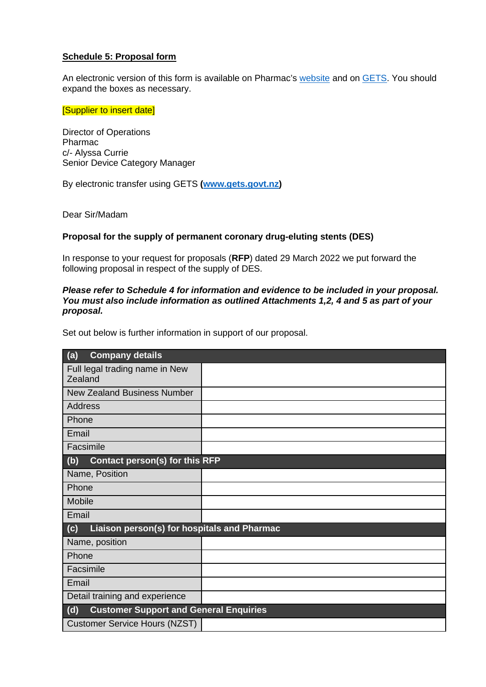# **Schedule 5: Proposal form**

An electronic version of this form is available on Pharmac's [website](https://pharmac.govt.nz/) and on [GETS.](https://www.gets.govt.nz/ExternalIndex.htm) You should expand the boxes as necessary.

[Supplier to insert date]

Director of Operations Pharmac c/- Alyssa Currie Senior Device Category Manager

By electronic transfer using GETS **[\(www.gets.govt.nz\)](http://www.gets.govt.nz/)**

Dear Sir/Madam

### **Proposal for the supply of permanent coronary drug-eluting stents (DES)**

In response to your request for proposals (**RFP**) dated 29 March 2022 we put forward the following proposal in respect of the supply of DES.

#### *Please refer to Schedule 4 for information and evidence to be included in your proposal. You must also include information as outlined Attachments 1,2, 4 and 5 as part of your proposal.*

Set out below is further information in support of our proposal.

| <b>Company details</b><br>(a)                        |  |
|------------------------------------------------------|--|
| Full legal trading name in New<br>Zealand            |  |
| <b>New Zealand Business Number</b>                   |  |
| <b>Address</b>                                       |  |
| Phone                                                |  |
| Email                                                |  |
| Facsimile                                            |  |
| Contact person(s) for this RFP<br>(b)                |  |
| Name, Position                                       |  |
| Phone                                                |  |
| Mobile                                               |  |
| Email                                                |  |
| Liaison person(s) for hospitals and Pharmac<br>(c)   |  |
| Name, position                                       |  |
| Phone                                                |  |
| Facsimile                                            |  |
| Email                                                |  |
| Detail training and experience                       |  |
| <b>Customer Support and General Enquiries</b><br>(d) |  |
| <b>Customer Service Hours (NZST)</b>                 |  |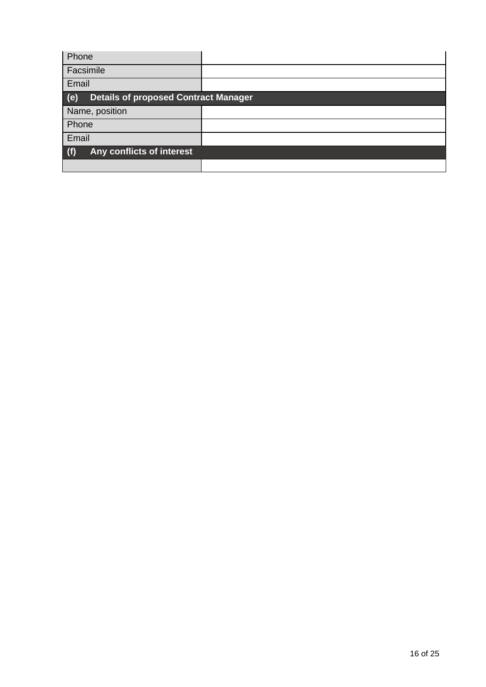| Phone                                              |  |  |
|----------------------------------------------------|--|--|
| Facsimile                                          |  |  |
| Email                                              |  |  |
| <b>Details of proposed Contract Manager</b><br>(e) |  |  |
| Name, position                                     |  |  |
| Phone                                              |  |  |
| Email                                              |  |  |
| (f)<br>Any conflicts of interest                   |  |  |
|                                                    |  |  |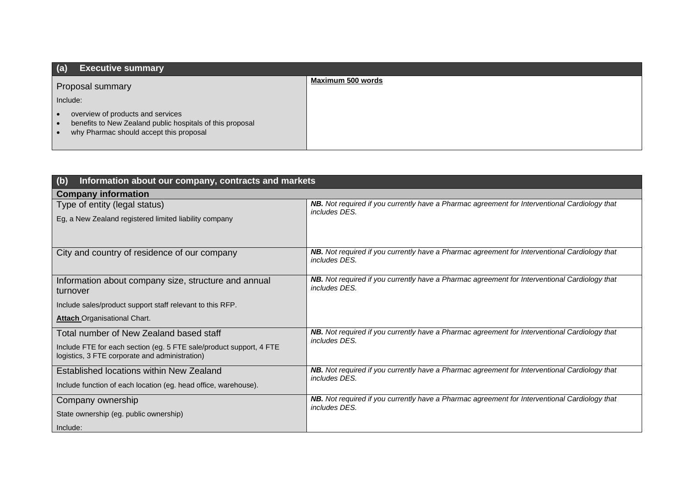| (a)<br><b>Executive summary</b>                                                                                                                                                  |                   |
|----------------------------------------------------------------------------------------------------------------------------------------------------------------------------------|-------------------|
| Proposal summary                                                                                                                                                                 | Maximum 500 words |
| Include:                                                                                                                                                                         |                   |
| overview of products and services<br>$\bullet$<br>benefits to New Zealand public hospitals of this proposal<br>$\bullet$<br>why Pharmac should accept this proposal<br>$\bullet$ |                   |

| (b)<br>Information about our company, contracts and markets                                                           |                                                                                                                       |  |
|-----------------------------------------------------------------------------------------------------------------------|-----------------------------------------------------------------------------------------------------------------------|--|
| <b>Company information</b>                                                                                            |                                                                                                                       |  |
| Type of entity (legal status)                                                                                         | NB. Not required if you currently have a Pharmac agreement for Interventional Cardiology that<br>includes DES.        |  |
| Eg, a New Zealand registered limited liability company                                                                |                                                                                                                       |  |
| City and country of residence of our company                                                                          | NB. Not required if you currently have a Pharmac agreement for Interventional Cardiology that<br>includes DES.        |  |
| Information about company size, structure and annual<br>turnover                                                      | <b>NB.</b> Not required if you currently have a Pharmac agreement for Interventional Cardiology that<br>includes DES. |  |
| Include sales/product support staff relevant to this RFP.                                                             |                                                                                                                       |  |
| <b>Attach Organisational Chart.</b>                                                                                   |                                                                                                                       |  |
| Total number of New Zealand based staff                                                                               | NB. Not required if you currently have a Pharmac agreement for Interventional Cardiology that<br>includes DES.        |  |
| Include FTE for each section (eg. 5 FTE sale/product support, 4 FTE<br>logistics, 3 FTE corporate and administration) |                                                                                                                       |  |
| Established locations within New Zealand                                                                              | NB. Not required if you currently have a Pharmac agreement for Interventional Cardiology that<br>includes DES.        |  |
| Include function of each location (eg. head office, warehouse).                                                       |                                                                                                                       |  |
| Company ownership                                                                                                     | NB. Not required if you currently have a Pharmac agreement for Interventional Cardiology that<br>includes DES.        |  |
| State ownership (eg. public ownership)                                                                                |                                                                                                                       |  |
| Include:                                                                                                              |                                                                                                                       |  |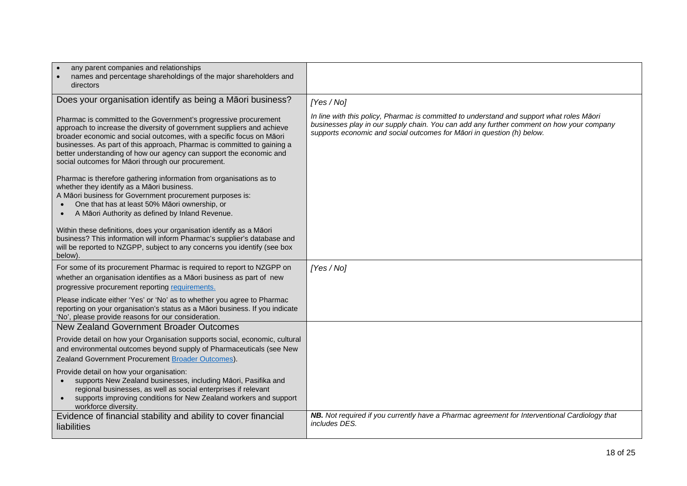| any parent companies and relationships<br>names and percentage shareholdings of the major shareholders and<br>directors                                                                                                                                                                                                                                                                                                    |                                                                                                                                                                                                                                                                 |
|----------------------------------------------------------------------------------------------------------------------------------------------------------------------------------------------------------------------------------------------------------------------------------------------------------------------------------------------------------------------------------------------------------------------------|-----------------------------------------------------------------------------------------------------------------------------------------------------------------------------------------------------------------------------------------------------------------|
| Does your organisation identify as being a Māori business?                                                                                                                                                                                                                                                                                                                                                                 | [Yes / No]                                                                                                                                                                                                                                                      |
| Pharmac is committed to the Government's progressive procurement<br>approach to increase the diversity of government suppliers and achieve<br>broader economic and social outcomes, with a specific focus on Māori<br>businesses. As part of this approach, Pharmac is committed to gaining a<br>better understanding of how our agency can support the economic and<br>social outcomes for Māori through our procurement. | In line with this policy, Pharmac is committed to understand and support what roles Māori<br>businesses play in our supply chain. You can add any further comment on how your company<br>supports economic and social outcomes for Māori in question (h) below. |
| Pharmac is therefore gathering information from organisations as to<br>whether they identify as a Māori business.<br>A Māori business for Government procurement purposes is:<br>One that has at least 50% Māori ownership, or<br>A Māori Authority as defined by Inland Revenue.                                                                                                                                          |                                                                                                                                                                                                                                                                 |
| Within these definitions, does your organisation identify as a Māori<br>business? This information will inform Pharmac's supplier's database and<br>will be reported to NZGPP, subject to any concerns you identify (see box<br>below).                                                                                                                                                                                    |                                                                                                                                                                                                                                                                 |
| For some of its procurement Pharmac is required to report to NZGPP on<br>whether an organisation identifies as a Māori business as part of new<br>progressive procurement reporting requirements.                                                                                                                                                                                                                          | [Yes / No]                                                                                                                                                                                                                                                      |
| Please indicate either 'Yes' or 'No' as to whether you agree to Pharmac<br>reporting on your organisation's status as a Māori business. If you indicate<br>'No', please provide reasons for our consideration.                                                                                                                                                                                                             |                                                                                                                                                                                                                                                                 |
| New Zealand Government Broader Outcomes                                                                                                                                                                                                                                                                                                                                                                                    |                                                                                                                                                                                                                                                                 |
| Provide detail on how your Organisation supports social, economic, cultural<br>and environmental outcomes beyond supply of Pharmaceuticals (see New<br>Zealand Government Procurement Broader Outcomes).                                                                                                                                                                                                                   |                                                                                                                                                                                                                                                                 |
| Provide detail on how your organisation:<br>supports New Zealand businesses, including Māori, Pasifika and<br>regional businesses, as well as social enterprises if relevant<br>supports improving conditions for New Zealand workers and support<br>workforce diversity.                                                                                                                                                  |                                                                                                                                                                                                                                                                 |
| Evidence of financial stability and ability to cover financial<br>liabilities                                                                                                                                                                                                                                                                                                                                              | NB. Not required if you currently have a Pharmac agreement for Interventional Cardiology that<br>includes DES.                                                                                                                                                  |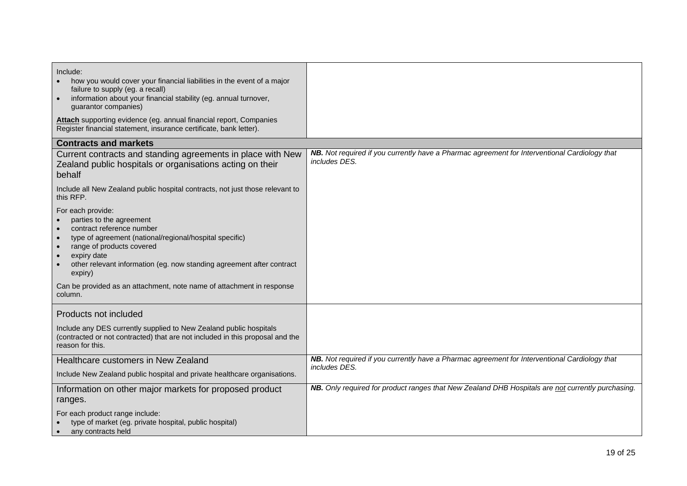| Include:<br>how you would cover your financial liabilities in the event of a major<br>failure to supply (eg. a recall)<br>information about your financial stability (eg. annual turnover,<br>guarantor companies)                                                                                                                                                                                            |                                                                                                                |
|---------------------------------------------------------------------------------------------------------------------------------------------------------------------------------------------------------------------------------------------------------------------------------------------------------------------------------------------------------------------------------------------------------------|----------------------------------------------------------------------------------------------------------------|
| Attach supporting evidence (eg. annual financial report, Companies<br>Register financial statement, insurance certificate, bank letter).                                                                                                                                                                                                                                                                      |                                                                                                                |
| <b>Contracts and markets</b>                                                                                                                                                                                                                                                                                                                                                                                  |                                                                                                                |
| Current contracts and standing agreements in place with New<br>Zealand public hospitals or organisations acting on their<br>behalf                                                                                                                                                                                                                                                                            | NB. Not required if you currently have a Pharmac agreement for Interventional Cardiology that<br>includes DES. |
| Include all New Zealand public hospital contracts, not just those relevant to<br>this RFP.                                                                                                                                                                                                                                                                                                                    |                                                                                                                |
| For each provide:<br>parties to the agreement<br>contract reference number<br>type of agreement (national/regional/hospital specific)<br>$\bullet$<br>range of products covered<br>$\bullet$<br>expiry date<br>$\bullet$<br>other relevant information (eg. now standing agreement after contract<br>$\bullet$<br>expiry)<br>Can be provided as an attachment, note name of attachment in response<br>column. |                                                                                                                |
| Products not included                                                                                                                                                                                                                                                                                                                                                                                         |                                                                                                                |
| Include any DES currently supplied to New Zealand public hospitals<br>(contracted or not contracted) that are not included in this proposal and the<br>reason for this.                                                                                                                                                                                                                                       |                                                                                                                |
| Healthcare customers in New Zealand                                                                                                                                                                                                                                                                                                                                                                           | NB. Not required if you currently have a Pharmac agreement for Interventional Cardiology that                  |
| Include New Zealand public hospital and private healthcare organisations.                                                                                                                                                                                                                                                                                                                                     | includes DES.                                                                                                  |
| Information on other major markets for proposed product<br>ranges.                                                                                                                                                                                                                                                                                                                                            | NB. Only required for product ranges that New Zealand DHB Hospitals are not currently purchasing.              |
| For each product range include:<br>type of market (eg. private hospital, public hospital)<br>any contracts held                                                                                                                                                                                                                                                                                               |                                                                                                                |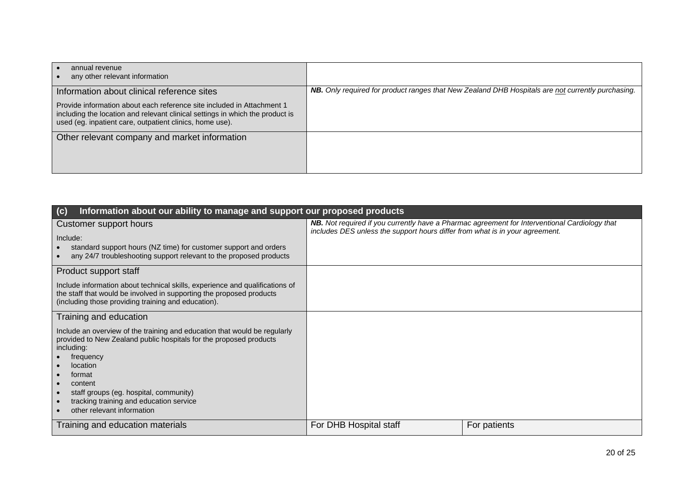| annual revenue<br>any other relevant information                                                                                                                                                                    |                                                                                                          |
|---------------------------------------------------------------------------------------------------------------------------------------------------------------------------------------------------------------------|----------------------------------------------------------------------------------------------------------|
| Information about clinical reference sites                                                                                                                                                                          | <b>NB.</b> Only required for product ranges that New Zealand DHB Hospitals are not currently purchasing. |
| Provide information about each reference site included in Attachment 1<br>including the location and relevant clinical settings in which the product is<br>used (eg. inpatient care, outpatient clinics, home use). |                                                                                                          |
| Other relevant company and market information                                                                                                                                                                       |                                                                                                          |
|                                                                                                                                                                                                                     |                                                                                                          |
|                                                                                                                                                                                                                     |                                                                                                          |
|                                                                                                                                                                                                                     |                                                                                                          |

| Information about our ability to manage and support our proposed products<br>(c)                                                                                                                                                                                                                                               |                                                                              |                                                                                               |
|--------------------------------------------------------------------------------------------------------------------------------------------------------------------------------------------------------------------------------------------------------------------------------------------------------------------------------|------------------------------------------------------------------------------|-----------------------------------------------------------------------------------------------|
| Customer support hours<br>Include:<br>standard support hours (NZ time) for customer support and orders<br>any 24/7 troubleshooting support relevant to the proposed products                                                                                                                                                   | includes DES unless the support hours differ from what is in your agreement. | NB. Not required if you currently have a Pharmac agreement for Interventional Cardiology that |
| Product support staff                                                                                                                                                                                                                                                                                                          |                                                                              |                                                                                               |
| Include information about technical skills, experience and qualifications of<br>the staff that would be involved in supporting the proposed products<br>(including those providing training and education).                                                                                                                    |                                                                              |                                                                                               |
| Training and education                                                                                                                                                                                                                                                                                                         |                                                                              |                                                                                               |
| Include an overview of the training and education that would be regularly<br>provided to New Zealand public hospitals for the proposed products<br>including:<br>frequency<br>location<br>format<br>content<br>staff groups (eg. hospital, community)<br>tracking training and education service<br>other relevant information |                                                                              |                                                                                               |
| Training and education materials                                                                                                                                                                                                                                                                                               | For DHB Hospital staff                                                       | For patients                                                                                  |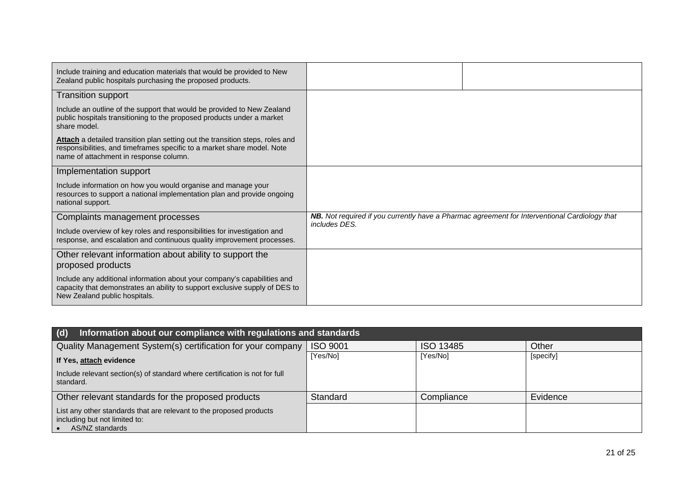| Include training and education materials that would be provided to New<br>Zealand public hospitals purchasing the proposed products.                                                                      |               |                                                                                               |
|-----------------------------------------------------------------------------------------------------------------------------------------------------------------------------------------------------------|---------------|-----------------------------------------------------------------------------------------------|
| <b>Transition support</b>                                                                                                                                                                                 |               |                                                                                               |
| Include an outline of the support that would be provided to New Zealand<br>public hospitals transitioning to the proposed products under a market<br>share model.                                         |               |                                                                                               |
| <b>Attach</b> a detailed transition plan setting out the transition steps, roles and<br>responsibilities, and timeframes specific to a market share model. Note<br>name of attachment in response column. |               |                                                                                               |
| Implementation support                                                                                                                                                                                    |               |                                                                                               |
| Include information on how you would organise and manage your<br>resources to support a national implementation plan and provide ongoing<br>national support.                                             |               |                                                                                               |
| Complaints management processes                                                                                                                                                                           | includes DES. | NB. Not required if you currently have a Pharmac agreement for Interventional Cardiology that |
| Include overview of key roles and responsibilities for investigation and<br>response, and escalation and continuous quality improvement processes.                                                        |               |                                                                                               |
| Other relevant information about ability to support the<br>proposed products                                                                                                                              |               |                                                                                               |
| Include any additional information about your company's capabilities and<br>capacity that demonstrates an ability to support exclusive supply of DES to<br>New Zealand public hospitals.                  |               |                                                                                               |

| (d)<br>Information about our compliance with regulations and standards                                                  |                 |                  |           |
|-------------------------------------------------------------------------------------------------------------------------|-----------------|------------------|-----------|
| Quality Management System(s) certification for your company                                                             | <b>ISO 9001</b> | <b>ISO 13485</b> | Other     |
| If Yes, attach evidence                                                                                                 | [Yes/No]        | [Yes/No]         | [specify] |
| Include relevant section(s) of standard where certification is not for full<br>standard.                                |                 |                  |           |
| Other relevant standards for the proposed products                                                                      | Standard        | Compliance       | Evidence  |
| List any other standards that are relevant to the proposed products<br>including but not limited to:<br>AS/NZ standards |                 |                  |           |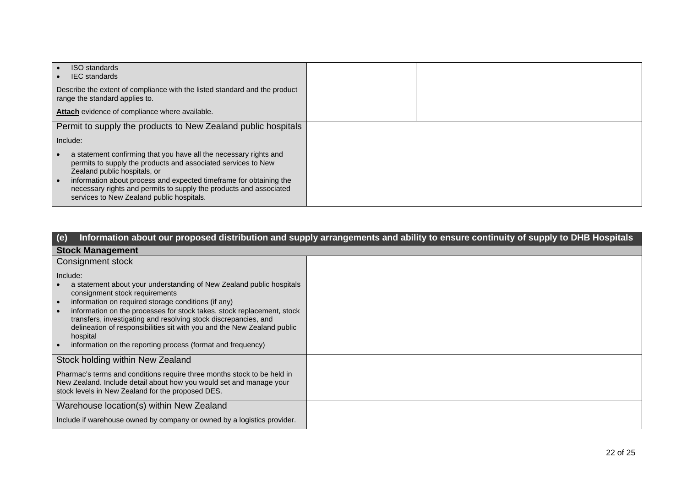| <b>ISO</b> standards<br><b>IEC</b> standards                                                                                                                                                                                                                                                                                                                |  |  |
|-------------------------------------------------------------------------------------------------------------------------------------------------------------------------------------------------------------------------------------------------------------------------------------------------------------------------------------------------------------|--|--|
| Describe the extent of compliance with the listed standard and the product<br>range the standard applies to.                                                                                                                                                                                                                                                |  |  |
| Attach evidence of compliance where available.                                                                                                                                                                                                                                                                                                              |  |  |
| Permit to supply the products to New Zealand public hospitals                                                                                                                                                                                                                                                                                               |  |  |
| Include:                                                                                                                                                                                                                                                                                                                                                    |  |  |
| a statement confirming that you have all the necessary rights and<br>permits to supply the products and associated services to New<br>Zealand public hospitals, or<br>information about process and expected timeframe for obtaining the<br>necessary rights and permits to supply the products and associated<br>services to New Zealand public hospitals. |  |  |

| (e)                                                                                                                                                                                                                                                                                                                                                                                                                                                                          | Information about our proposed distribution and supply arrangements and ability to ensure continuity of supply to DHB Hospitals |
|------------------------------------------------------------------------------------------------------------------------------------------------------------------------------------------------------------------------------------------------------------------------------------------------------------------------------------------------------------------------------------------------------------------------------------------------------------------------------|---------------------------------------------------------------------------------------------------------------------------------|
| <b>Stock Management</b>                                                                                                                                                                                                                                                                                                                                                                                                                                                      |                                                                                                                                 |
| Consignment stock                                                                                                                                                                                                                                                                                                                                                                                                                                                            |                                                                                                                                 |
| Include:<br>a statement about your understanding of New Zealand public hospitals<br>consignment stock requirements<br>information on required storage conditions (if any)<br>information on the processes for stock takes, stock replacement, stock<br>transfers, investigating and resolving stock discrepancies, and<br>delineation of responsibilities sit with you and the New Zealand public<br>hospital<br>information on the reporting process (format and frequency) |                                                                                                                                 |
| Stock holding within New Zealand                                                                                                                                                                                                                                                                                                                                                                                                                                             |                                                                                                                                 |
| Pharmac's terms and conditions require three months stock to be held in<br>New Zealand. Include detail about how you would set and manage your<br>stock levels in New Zealand for the proposed DES.                                                                                                                                                                                                                                                                          |                                                                                                                                 |
| Warehouse location(s) within New Zealand                                                                                                                                                                                                                                                                                                                                                                                                                                     |                                                                                                                                 |
| Include if warehouse owned by company or owned by a logistics provider.                                                                                                                                                                                                                                                                                                                                                                                                      |                                                                                                                                 |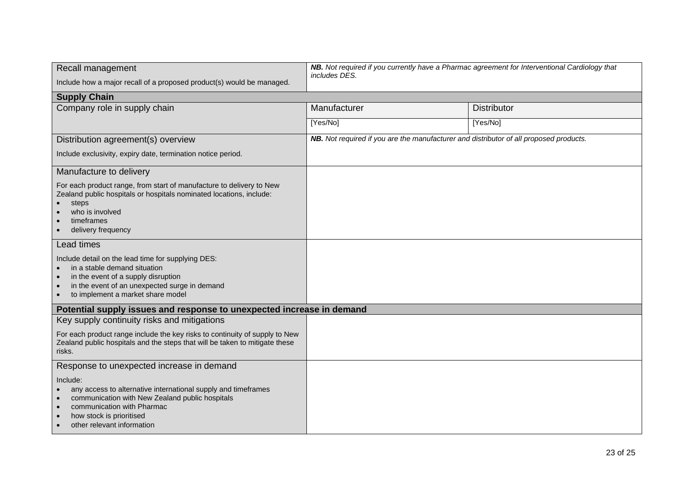| Recall management                                                                                                                                                                                                                              | NB. Not required if you currently have a Pharmac agreement for Interventional Cardiology that<br>includes DES. |                    |
|------------------------------------------------------------------------------------------------------------------------------------------------------------------------------------------------------------------------------------------------|----------------------------------------------------------------------------------------------------------------|--------------------|
| Include how a major recall of a proposed product(s) would be managed.                                                                                                                                                                          |                                                                                                                |                    |
| <b>Supply Chain</b>                                                                                                                                                                                                                            |                                                                                                                |                    |
| Company role in supply chain                                                                                                                                                                                                                   | Manufacturer                                                                                                   | <b>Distributor</b> |
|                                                                                                                                                                                                                                                | [Yes/No]                                                                                                       | [Yes/No]           |
| Distribution agreement(s) overview                                                                                                                                                                                                             | NB. Not required if you are the manufacturer and distributor of all proposed products.                         |                    |
| Include exclusivity, expiry date, termination notice period.                                                                                                                                                                                   |                                                                                                                |                    |
| Manufacture to delivery                                                                                                                                                                                                                        |                                                                                                                |                    |
| For each product range, from start of manufacture to delivery to New<br>Zealand public hospitals or hospitals nominated locations, include:<br>steps<br>$\bullet$<br>who is involved<br>timeframes<br>delivery frequency                       |                                                                                                                |                    |
| Lead times                                                                                                                                                                                                                                     |                                                                                                                |                    |
| Include detail on the lead time for supplying DES:<br>in a stable demand situation<br>in the event of a supply disruption<br>in the event of an unexpected surge in demand<br>$\bullet$<br>to implement a market share model                   |                                                                                                                |                    |
| Potential supply issues and response to unexpected increase in demand                                                                                                                                                                          |                                                                                                                |                    |
| Key supply continuity risks and mitigations                                                                                                                                                                                                    |                                                                                                                |                    |
| For each product range include the key risks to continuity of supply to New<br>Zealand public hospitals and the steps that will be taken to mitigate these<br>risks.                                                                           |                                                                                                                |                    |
| Response to unexpected increase in demand                                                                                                                                                                                                      |                                                                                                                |                    |
| Include:<br>any access to alternative international supply and timeframes<br>communication with New Zealand public hospitals<br>communication with Pharmac<br>how stock is prioritised<br>$\bullet$<br>other relevant information<br>$\bullet$ |                                                                                                                |                    |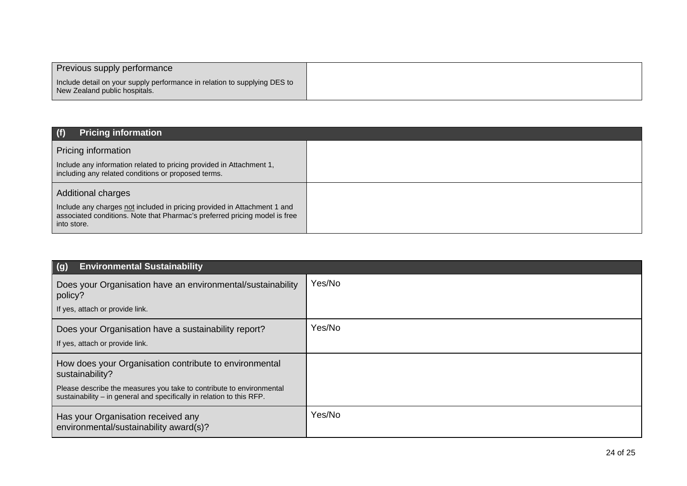| Previous supply performance                                                                                |  |
|------------------------------------------------------------------------------------------------------------|--|
| Include detail on your supply performance in relation to supplying DES to<br>New Zealand public hospitals. |  |

| (f)<br><b>Pricing information</b>                                                                                                                                                                  |  |
|----------------------------------------------------------------------------------------------------------------------------------------------------------------------------------------------------|--|
| Pricing information<br>Include any information related to pricing provided in Attachment 1,<br>including any related conditions or proposed terms.                                                 |  |
| <b>Additional charges</b><br>Include any charges not included in pricing provided in Attachment 1 and<br>associated conditions. Note that Pharmac's preferred pricing model is free<br>into store. |  |

| <b>Environmental Sustainability</b><br>(g)                                                                                                                                                                                 |        |
|----------------------------------------------------------------------------------------------------------------------------------------------------------------------------------------------------------------------------|--------|
| Does your Organisation have an environmental/sustainability<br>policy?                                                                                                                                                     | Yes/No |
| If yes, attach or provide link.                                                                                                                                                                                            |        |
| Does your Organisation have a sustainability report?<br>If yes, attach or provide link.                                                                                                                                    | Yes/No |
| How does your Organisation contribute to environmental<br>sustainability?<br>Please describe the measures you take to contribute to environmental<br>sustainability - in general and specifically in relation to this RFP. |        |
| Has your Organisation received any<br>environmental/sustainability award(s)?                                                                                                                                               | Yes/No |